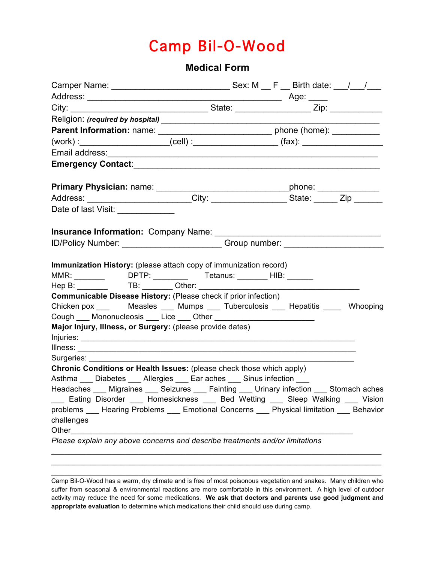## Camp Bil-O-Wood

## **Medical Form**

| $(work):$ $(cell):$ $(cell):$ $(fax):$ $(fax):$                                                                                                                                |  |  |  |
|--------------------------------------------------------------------------------------------------------------------------------------------------------------------------------|--|--|--|
|                                                                                                                                                                                |  |  |  |
|                                                                                                                                                                                |  |  |  |
|                                                                                                                                                                                |  |  |  |
| Address: ________________________City: ______________________State: _______Zip _______                                                                                         |  |  |  |
| Date of last Visit: ____________                                                                                                                                               |  |  |  |
|                                                                                                                                                                                |  |  |  |
| ID/Policy Number: ___________________________Group number: _____________________                                                                                               |  |  |  |
|                                                                                                                                                                                |  |  |  |
| Immunization History: (please attach copy of immunization record)                                                                                                              |  |  |  |
| MMR: ___________________DPTP: _________________Tetanus: __________HIB: ________                                                                                                |  |  |  |
|                                                                                                                                                                                |  |  |  |
| <b>Communicable Disease History: (Please check if prior infection)</b>                                                                                                         |  |  |  |
| Chicken pox ________ Measles _____ Mumps _____ Tuberculosis _____ Hepatitis ______ Whooping                                                                                    |  |  |  |
|                                                                                                                                                                                |  |  |  |
| Major Injury, Illness, or Surgery: (please provide dates)                                                                                                                      |  |  |  |
|                                                                                                                                                                                |  |  |  |
|                                                                                                                                                                                |  |  |  |
| Surgeries: ________                                                                                                                                                            |  |  |  |
| Chronic Conditions or Health Issues: (please check those which apply)                                                                                                          |  |  |  |
| Asthma Diabetes Allergies Ear aches Sinus infection                                                                                                                            |  |  |  |
| Headaches ___ Migraines ___ Seizures ___ Fainting ___ Urinary infection ___ Stomach aches<br>___ Eating Disorder ___ Homesickness ___ Bed Wetting ___ Sleep Walking ___ Vision |  |  |  |
| problems ___ Hearing Problems ___ Emotional Concerns ___ Physical limitation ___ Behavior                                                                                      |  |  |  |
| challenges                                                                                                                                                                     |  |  |  |
|                                                                                                                                                                                |  |  |  |
| Please explain any above concerns and describe treatments and/or limitations                                                                                                   |  |  |  |

Camp Bil-O-Wood has a warm, dry climate and is free of most poisonous vegetation and snakes. Many children who suffer from seasonal & environmental reactions are more comfortable in this environment. A high level of outdoor activity may reduce the need for some medications. **We ask that doctors and parents use good judgment and appropriate evaluation** to determine which medications their child should use during camp.

\_\_\_\_\_\_\_\_\_\_\_\_\_\_\_\_\_\_\_\_\_\_\_\_\_\_\_\_\_\_\_\_\_\_\_\_\_\_\_\_\_\_\_\_\_\_\_\_\_\_\_\_\_\_\_\_\_\_\_\_\_\_\_\_\_\_\_\_\_\_\_\_\_\_\_\_ \_\_\_\_\_\_\_\_\_\_\_\_\_\_\_\_\_\_\_\_\_\_\_\_\_\_\_\_\_\_\_\_\_\_\_\_\_\_\_\_\_\_\_\_\_\_\_\_\_\_\_\_\_\_\_\_\_\_\_\_\_\_\_\_\_\_\_\_\_\_\_\_\_\_\_\_ \_\_\_\_\_\_\_\_\_\_\_\_\_\_\_\_\_\_\_\_\_\_\_\_\_\_\_\_\_\_\_\_\_\_\_\_\_\_\_\_\_\_\_\_\_\_\_\_\_\_\_\_\_\_\_\_\_\_\_\_\_\_\_\_\_\_\_\_\_\_\_\_\_\_\_\_